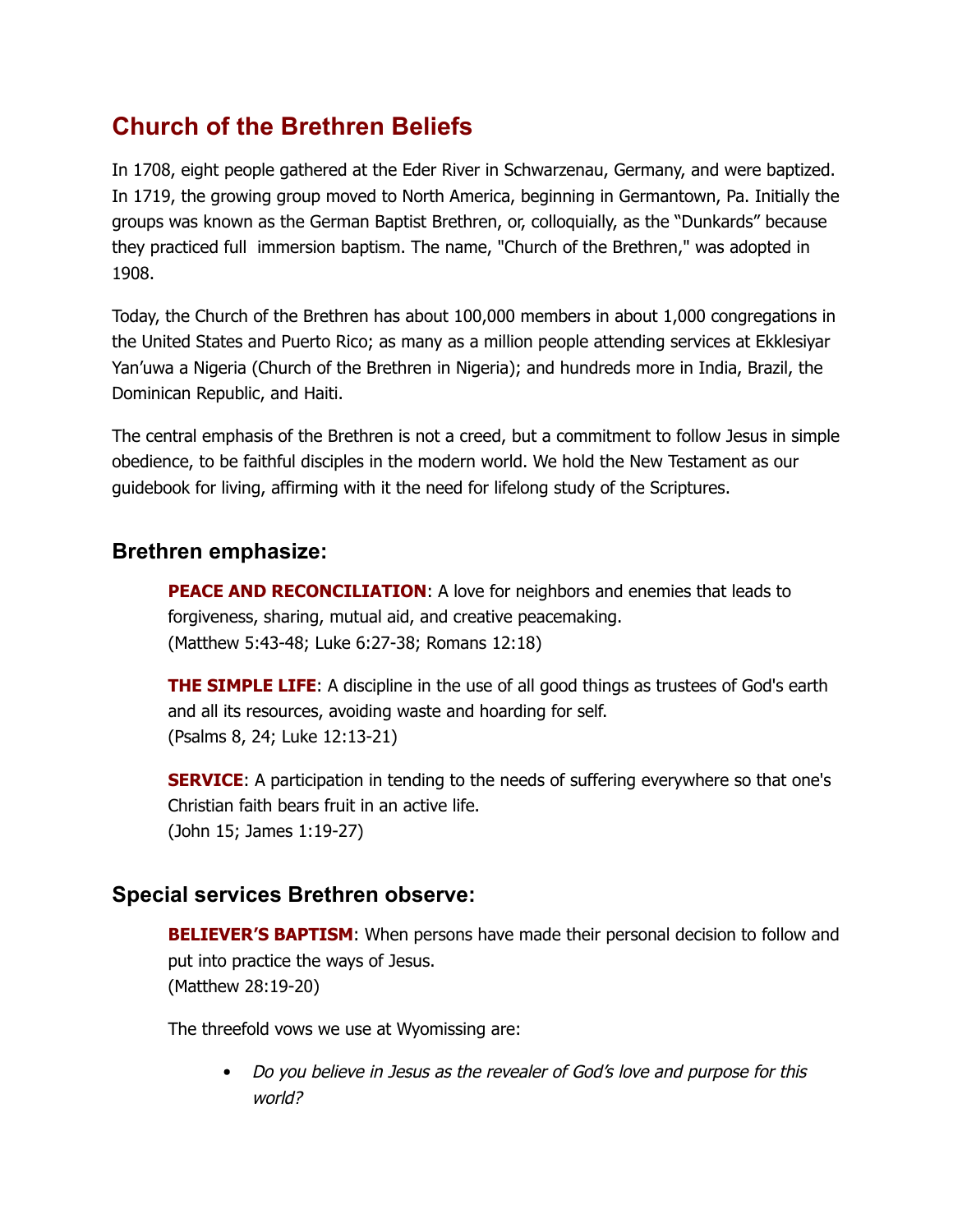## **Church of the Brethren Beliefs**

In 1708, eight people gathered at the Eder River in Schwarzenau, Germany, and were baptized. In 1719, the growing group moved to North America, beginning in Germantown, Pa. Initially the groups was known as the German Baptist Brethren, or, colloquially, as the "Dunkards" because they practiced full immersion baptism. The name, "Church of the Brethren," was adopted in 1908.

Today, the Church of the Brethren has about 100,000 members in about 1,000 congregations in the United States and Puerto Rico; as many as a million people attending services at Ekklesiyar Yan'uwa a Nigeria (Church of the Brethren in Nigeria); and hundreds more in India, Brazil, the Dominican Republic, and Haiti.

The central emphasis of the Brethren is not a creed, but a commitment to follow Jesus in simple obedience, to be faithful disciples in the modern world. We hold the New Testament as our guidebook for living, affirming with it the need for lifelong study of the Scriptures.

## **Brethren emphasize:**

**PEACE AND RECONCILIATION**: A love for neighbors and enemies that leads to forgiveness, sharing, mutual aid, and creative peacemaking. (Matthew 5:43-48; Luke 6:27-38; Romans 12:18)

**THE SIMPLE LIFE**: A discipline in the use of all good things as trustees of God's earth and all its resources, avoiding waste and hoarding for self. (Psalms 8, 24; Luke 12:13-21)

**SERVICE:** A participation in tending to the needs of suffering everywhere so that one's Christian faith bears fruit in an active life. (John 15; James 1:19-27)

## **Special services Brethren observe:**

**BELIEVER'S BAPTISM**: When persons have made their personal decision to follow and put into practice the ways of Jesus. (Matthew 28:19-20)

The threefold vows we use at Wyomissing are:

*Do you believe in Jesus as the revealer of God'<sup>s</sup> love and purpose for this world?*